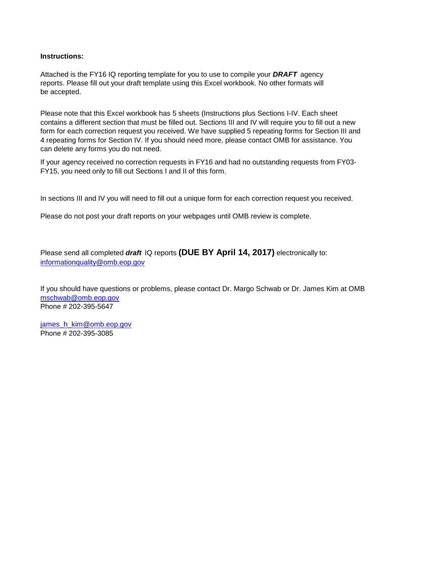## **Instructions:**

be accepted. Attached is the FY16 IQ reporting template for you to use to compile your *DRAFT* agency reports. Please fill out your draft template using this Excel workbook. No other formats will

Please note that this Excel workbook has 5 sheets (Instructions plus Sections I-IV. Each sheet contains a different section that must be filled out. Sections III and IV will require you to fill out a new form for each correction request you received. We have supplied 5 repeating forms for Section III and 4 repeating forms for Section IV. If you should need more, please contact OMB for assistance. You can delete any forms you do not need.

If your agency received no correction requests in FY16 and had no outstanding requests from FY03 FY15, you need only to fill out Sections I and II of this form.

In sections III and IV you will need to fill out a unique form for each correction request you received.

Please do not post your draft reports on your webpages until OMB review is complete.

Please send all completed *draft* IQ reports **(DUE BY April 14, 2017)** electronically to: [informationquality@omb.eop.gov](mailto:informationquality@omb.eop.gov) 

If you should have questions or problems, please contact Dr. Margo Schwab or Dr. James Kim at OMB [mschwab@omb.eop.gov](mailto:mschwab@omb.eop.gov) Phone # 202-395-5647

[james\\_h\\_kim@omb.eop.gov](mailto:james_h_kim@omb.eop.gov) Phone # 202-395-3085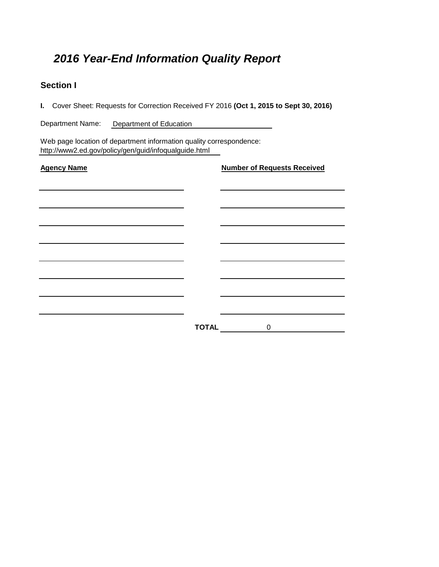## *2016 Year-End Information Quality Report*

## **Section I**

**I.** Cover Sheet: Requests for Correction Received FY 2016 **(Oct 1, 2015 to Sept 30, 2016)**

| Department Name: | Department of Education |
|------------------|-------------------------|
|                  |                         |

Web page location of department information quality correspondence: http://www2.ed.gov/policy/gen/guid/infoqualguide.html

| <b>Agency Name</b> | <b>Number of Requests Received</b> |
|--------------------|------------------------------------|
|                    |                                    |
|                    |                                    |
|                    |                                    |
|                    |                                    |
|                    |                                    |
|                    |                                    |
|                    |                                    |
|                    |                                    |
|                    | <b>TOTAL</b><br>$\pmb{0}$          |